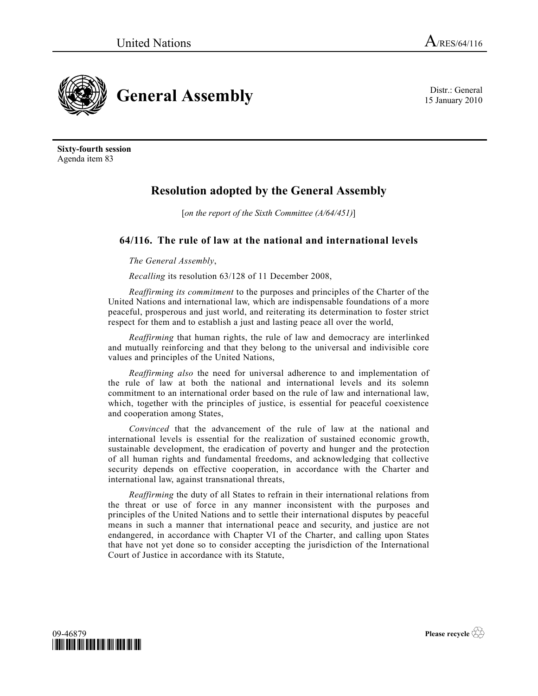15 January 2010



**Sixty-fourth session** Agenda item 83

## **Resolution adopted by the General Assembly**

[*on the report of the Sixth Committee (A/64/451)*]

## **64/116. The rule of law at the national and international levels**

*The General Assembly*,

*Recalling* its resolution 63/128 of 11 December 2008,

*Reaffirming its commitment* to the purposes and principles of the Charter of the United Nations and international law, which are indispensable foundations of a more peaceful, prosperous and just world, and reiterating its determination to foster strict respect for them and to establish a just and lasting peace all over the world,

*Reaffirming* that human rights, the rule of law and democracy are interlinked and mutually reinforcing and that they belong to the universal and indivisible core values and principles of the United Nations,

*Reaffirming also* the need for universal adherence to and implementation of the rule of law at both the national and international levels and its solemn commitment to an international order based on the rule of law and international law, which, together with the principles of justice, is essential for peaceful coexistence and cooperation among States,

*Convinced* that the advancement of the rule of law at the national and international levels is essential for the realization of sustained economic growth, sustainable development, the eradication of poverty and hunger and the protection of all human rights and fundamental freedoms, and acknowledging that collective security depends on effective cooperation, in accordance with the Charter and international law, against transnational threats,

*Reaffirming* the duty of all States to refrain in their international relations from the threat or use of force in any manner inconsistent with the purposes and principles of the United Nations and to settle their international disputes by peaceful means in such a manner that international peace and security, and justice are not endangered, in accordance with Chapter VI of the Charter, and calling upon States that have not yet done so to consider accepting the jurisdiction of the International Court of Justice in accordance with its Statute,

09-46879 *\*0946879\** **Please recycle**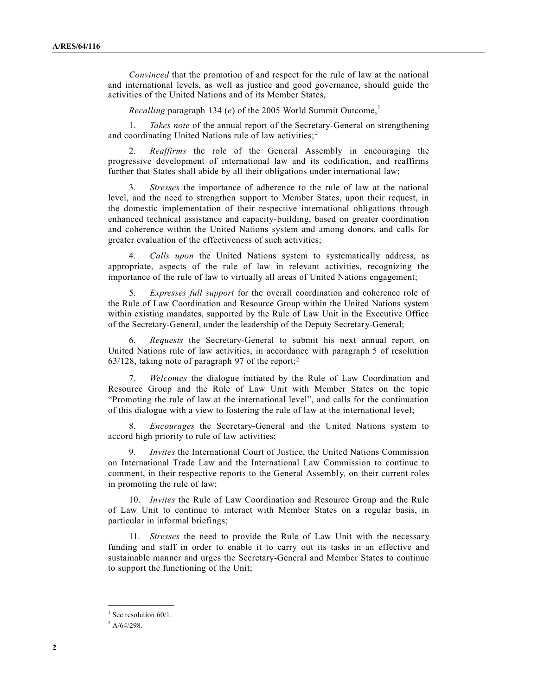*Convinced* that the promotion of and respect for the rule of law at the national and international levels, as well as justice and good governance, should guide the activities of the United Nations and of its Member States,

*Recalling* paragraph 134 (*e*) of the 2005 World Summit Outcome,<sup>1</sup>

1. *Takes note* of the annual report of the Secretary-General on strengthening and coordinating United Nations rule of law activities;<sup>2</sup>

2. *Reaffirms* the role of the General Assembly in encouraging the progressive development of international law and its codification, and reaffirms further that States shall abide by all their obligations under international law;

3. *Stresses* the importance of adherence to the rule of law at the national level, and the need to strengthen support to Member States, upon their request, in the domestic implementation of their respective international obligations through enhanced technical assistance and capacity-building, based on greater coordination and coherence within the United Nations system and among donors, and calls for greater evaluation of the effectiveness of such activities;

4. *Calls upon* the United Nations system to systematically address, as appropriate, aspects of the rule of law in relevant activities, recognizing the importance of the rule of law to virtually all areas of United Nations engagement;

5. *Expresses full support* for the overall coordination and coherence role of the Rule of Law Coordination and Resource Group within the United Nations system within existing mandates, supported by the Rule of Law Unit in the Executive Office of the Secretary-General, under the leadership of the Deputy Secretary-General;

6. *Requests* the Secretary-General to submit his next annual report on United Nations rule of law activities, in accordance with paragraph 5 of resolution 63/128, taking note of paragraph 97 of the report;<sup>2</sup>

7. *Welcomes* the dialogue initiated by the Rule of Law Coordination and Resource Group and the Rule of Law Unit with Member States on the topic "Promoting the rule of law at the international level", and calls for the continuation of this dialogue with a view to fostering the rule of law at the international level;

8. *Encourages* the Secretary-General and the United Nations system to accord high priority to rule of law activities;

9. *Invites* the International Court of Justice, the United Nations Commission on International Trade Law and the International Law Commission to continue to comment, in their respective reports to the General Assembly, on their current roles in promoting the rule of law;

10. *Invites* the Rule of Law Coordination and Resource Group and the Rule of Law Unit to continue to interact with Member States on a regular basis, in particular in informal briefings;

11. *Stresses* the need to provide the Rule of Law Unit with the necessary funding and staff in order to enable it to carry out its tasks in an effective and sustainable manner and urges the Secretary-General and Member States to continue to support the functioning of the Unit;

**\_\_\_\_\_\_\_\_\_\_\_\_\_\_\_** <sup>1</sup> See resolution 60/1.

 $^{2}$  A/64/298.